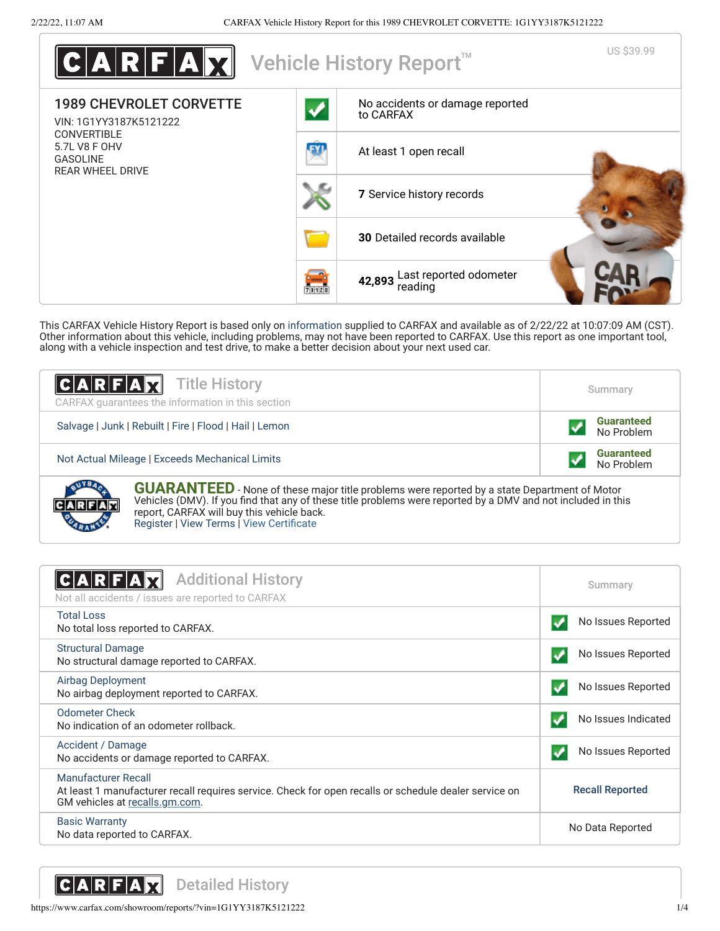

This CARFAX Vehicle History Report is based only on [information](http://www.carfax.com/company/vhr-data-sources) supplied to CARFAX and available as of 2/22/22 at 10:07:09 AM (CST). Other information about this vehicle, including problems, may not have been reported to CARFAX. Use this report as one important tool, along with a vehicle inspection and test drive, to make a better decision about your next used car.

| <b>CARFAX</b> Title History<br>CARFAX guarantees the information in this section                    | Summary                         |  |
|-----------------------------------------------------------------------------------------------------|---------------------------------|--|
| Salvage   Junk   Rebuilt   Fire   Flood   Hail   Lemon                                              | <b>Guaranteed</b><br>No Problem |  |
| <b>Guaranteed</b><br>No Problem<br>Not Actual Mileage   Exceeds Mechanical Limits                   |                                 |  |
| <b>GUARANTEED</b> - None of these major title problems were reported by a state Department of Motor |                                 |  |

Vehicles (DMV). If you find that any of these title problems were reported by a DMV and not included in this report, CARFAX will buy this vehicle back. [Register](https://www.carfax.com/Service/bbg) | [View Terms](https://www.carfax.com/company/carfax-buyback-guarantee-terms-and-conditions) | [View Certificate](https://www.carfax.com/showroom/reports/?vin=1G1YY3187K5121222)

<span id="page-0-0"></span>

| <b>Additional History</b><br>Not all accidents / issues are reported to CARFAX                                                                                 | Summary                |
|----------------------------------------------------------------------------------------------------------------------------------------------------------------|------------------------|
| <b>Total Loss</b><br>No total loss reported to CARFAX.                                                                                                         | No Issues Reported     |
| <b>Structural Damage</b><br>No structural damage reported to CARFAX.                                                                                           | No Issues Reported     |
| Airbag Deployment<br>No airbag deployment reported to CARFAX.                                                                                                  | No Issues Reported     |
| Odometer Check<br>No indication of an odometer rollback.                                                                                                       | No Issues Indicated    |
| Accident / Damage<br>No accidents or damage reported to CARFAX.                                                                                                | No Issues Reported     |
| Manufacturer Recall<br>At least 1 manufacturer recall requires service. Check for open recalls or schedule dealer service on<br>GM vehicles at recalls.gm.com. | <b>Recall Reported</b> |
| <b>Basic Warranty</b><br>No data reported to CARFAX.                                                                                                           | No Data Reported       |

<span id="page-0-1"></span>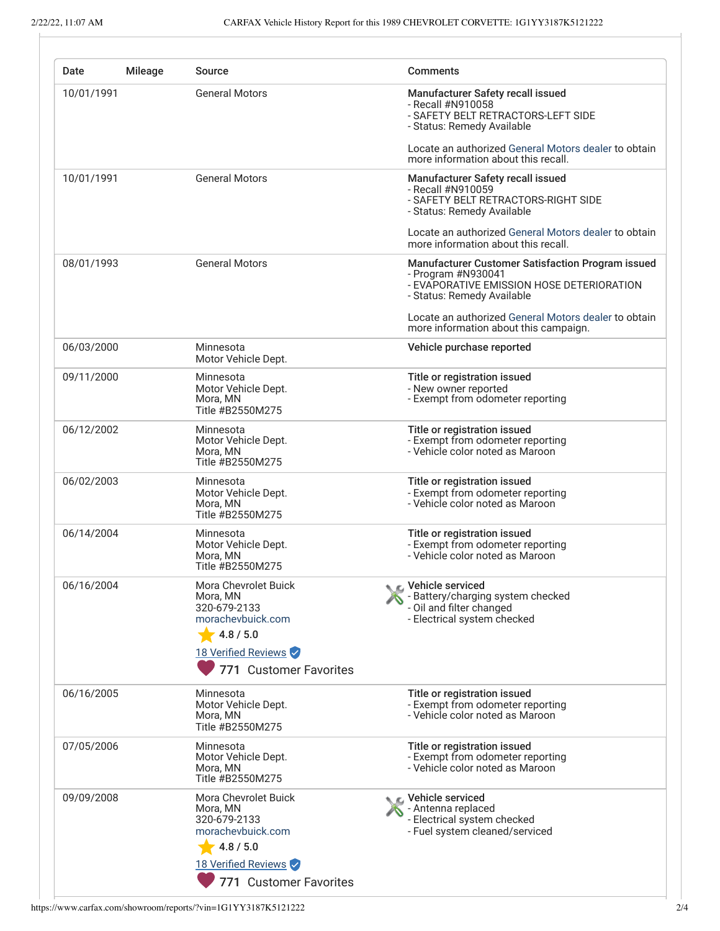<span id="page-1-0"></span>

| Date       | <b>Mileage</b>        | Source                                                                                                                              | <b>Comments</b>                                                                                                                                           |
|------------|-----------------------|-------------------------------------------------------------------------------------------------------------------------------------|-----------------------------------------------------------------------------------------------------------------------------------------------------------|
| 10/01/1991 | <b>General Motors</b> | Manufacturer Safety recall issued<br>- Recall #N910058<br>- SAFETY BELT RETRACTORS-LEFT SIDE<br>- Status: Remedy Available          |                                                                                                                                                           |
|            |                       | Locate an authorized General Motors dealer to obtain<br>more information about this recall.                                         |                                                                                                                                                           |
| 10/01/1991 | <b>General Motors</b> | Manufacturer Safety recall issued<br>- Recall #N910059<br>- SAFETY BELT RETRACTORS-RIGHT SIDE<br>- Status: Remedy Available         |                                                                                                                                                           |
|            |                       | Locate an authorized General Motors dealer to obtain<br>more information about this recall.                                         |                                                                                                                                                           |
| 08/01/1993 |                       | <b>General Motors</b>                                                                                                               | <b>Manufacturer Customer Satisfaction Program issued</b><br>- Program #N930041<br>- EVAPORATIVE EMISSION HOSE DETERIORATION<br>- Status: Remedy Available |
|            |                       |                                                                                                                                     | Locate an authorized General Motors dealer to obtain<br>more information about this campaign.                                                             |
| 06/03/2000 |                       | Minnesota<br>Motor Vehicle Dept.                                                                                                    | Vehicle purchase reported                                                                                                                                 |
| 09/11/2000 |                       | Minnesota<br>Motor Vehicle Dept.<br>Mora, MN<br>Title #B2550M275                                                                    | Title or registration issued<br>- New owner reported<br>- Exempt from odometer reporting                                                                  |
| 06/12/2002 |                       | Minnesota<br>Motor Vehicle Dept.<br>Mora, MN<br>Title #B2550M275                                                                    | Title or registration issued<br>- Exempt from odometer reporting<br>- Vehicle color noted as Maroon                                                       |
| 06/02/2003 |                       | Minnesota<br>Motor Vehicle Dept.<br>Mora, MN<br>Title #B2550M275                                                                    | Title or registration issued<br>- Exempt from odometer reporting<br>- Vehicle color noted as Maroon                                                       |
| 06/14/2004 |                       | Minnesota<br>Motor Vehicle Dept.<br>Mora, MN<br>Title #B2550M275                                                                    | Title or registration issued<br>- Exempt from odometer reporting<br>- Vehicle color noted as Maroon                                                       |
| 06/16/2004 |                       | Mora Chevrolet Buick<br>Mora, MN<br>320-679-2133<br>morachevbuick.com<br>4.8 / 5.0<br>18 Verified Reviews<br>771 Customer Favorites | Vehicle serviced<br>- Battery/charging system checked<br>- Oil and filter changed<br>- Electrical system checked                                          |
| 06/16/2005 |                       | Minnesota<br>Motor Vehicle Dept.<br>Mora, MN<br>Title #B2550M275                                                                    | Title or registration issued<br>- Exempt from odometer reporting<br>- Vehicle color noted as Maroon                                                       |
| 07/05/2006 |                       | Minnesota<br>Motor Vehicle Dept.<br>Mora, MN<br>Title #B2550M275                                                                    | Title or registration issued<br>- Exempt from odometer reporting<br>- Vehicle color noted as Maroon                                                       |
| 09/09/2008 |                       | Mora Chevrolet Buick<br>Mora, MN<br>320-679-2133<br>morachevbuick.com<br>4.8 / 5.0<br>18 Verified Reviews                           | C Vehicle serviced<br>- Antenna replaced<br>- Electrical system checked<br>- Fuel system cleaned/serviced                                                 |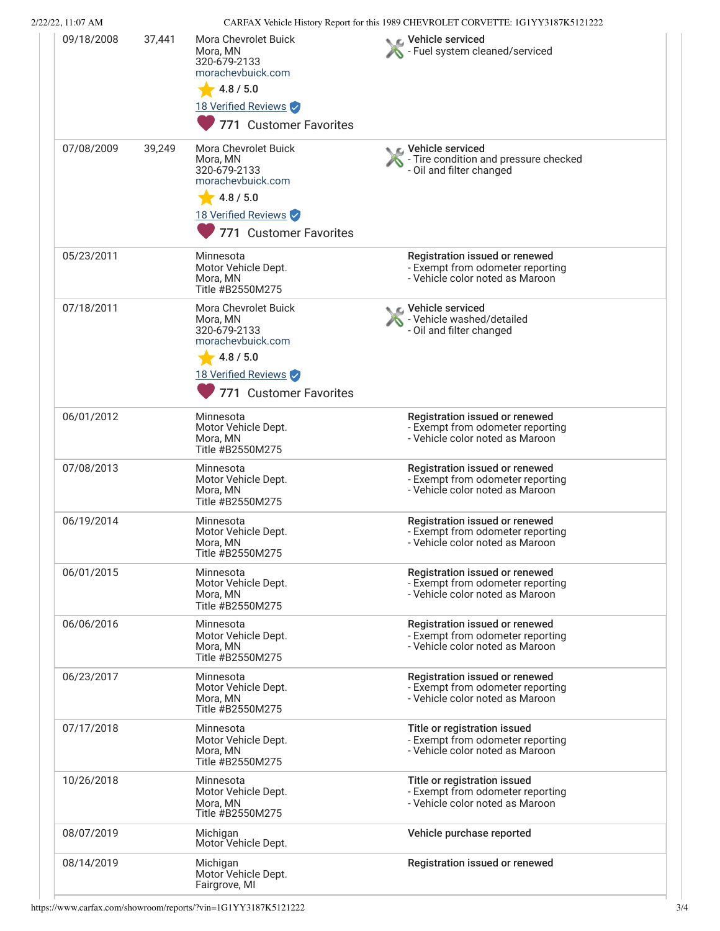| 2/22/22, 11:07 AM |        |                                                                                                                                     | CARFAX Vehicle History Report for this 1989 CHEVROLET CORVETTE: 1G1YY3187K5121222                     |
|-------------------|--------|-------------------------------------------------------------------------------------------------------------------------------------|-------------------------------------------------------------------------------------------------------|
| 09/18/2008        | 37,441 | Mora Chevrolet Buick<br>Mora, MN<br>320-679-2133<br>morachevbuick.com<br>4.8 / 5.0<br>18 Verified Reviews<br>771 Customer Favorites | Vehicle serviced<br>Fuel system cleaned/serviced                                                      |
| 07/08/2009        | 39,249 | Mora Chevrolet Buick<br>Mora, MN<br>320-679-2133<br>morachevbuick.com<br>4.8 / 5.0<br>18 Verified Reviews<br>771 Customer Favorites | Vehicle serviced<br>- Tire condition and pressure checked<br>- Oil and filter changed                 |
| 05/23/2011        |        | Minnesota<br>Motor Vehicle Dept.<br>Mora, MN<br>Title #B2550M275                                                                    | Registration issued or renewed<br>- Exempt from odometer reporting<br>- Vehicle color noted as Maroon |
| 07/18/2011        |        | Mora Chevrolet Buick<br>Mora, MN<br>320-679-2133<br>morachevbuick.com<br>4.8 / 5.0<br>18 Verified Reviews<br>771 Customer Favorites | Vehicle serviced<br>- Vehicle washed/detailed<br>- Oil and filter changed                             |
| 06/01/2012        |        | Minnesota<br>Motor Vehicle Dept.<br>Mora, MN<br>Title #B2550M275                                                                    | Registration issued or renewed<br>- Exempt from odometer reporting<br>- Vehicle color noted as Maroon |
| 07/08/2013        |        | Minnesota<br>Motor Vehicle Dept.<br>Mora, MN<br>Title #B2550M275                                                                    | Registration issued or renewed<br>- Exempt from odometer reporting<br>- Vehicle color noted as Maroon |
| 06/19/2014        |        | Minnesota<br>Motor Vehicle Dept.<br>Mora, MN<br>Title #B2550M275                                                                    | Registration issued or renewed<br>- Exempt from odometer reporting<br>- Vehicle color noted as Maroon |
| 06/01/2015        |        | Minnesota<br>Motor Vehicle Dept.<br>Mora, MN<br>Title #B2550M275                                                                    | Registration issued or renewed<br>- Exempt from odometer reporting<br>- Vehicle color noted as Maroon |
| 06/06/2016        |        | Minnesota<br>Motor Vehicle Dept.<br>Mora, MN<br>Title #B2550M275                                                                    | Registration issued or renewed<br>- Exempt from odometer reporting<br>- Vehicle color noted as Maroon |
| 06/23/2017        |        | Minnesota<br>Motor Vehicle Dept.<br>Mora, MN<br>Title #B2550M275                                                                    | Registration issued or renewed<br>- Exempt from odometer reporting<br>- Vehicle color noted as Maroon |
| 07/17/2018        |        | Minnesota<br>Motor Vehicle Dept.<br>Mora, MN<br>Title #B2550M275                                                                    | Title or registration issued<br>- Exempt from odometer reporting<br>- Vehicle color noted as Maroon   |
| 10/26/2018        |        | Minnesota<br>Motor Vehicle Dept.<br>Mora, MN<br>Title #B2550M275                                                                    | Title or registration issued<br>- Exempt from odometer reporting<br>- Vehicle color noted as Maroon   |
| 08/07/2019        |        | Michigan<br>Motor Vehicle Dept.                                                                                                     | Vehicle purchase reported                                                                             |
| 08/14/2019        |        | Michigan<br>Motor Vehicle Dept.                                                                                                     | Registration issued or renewed                                                                        |

Fairgrove, MI